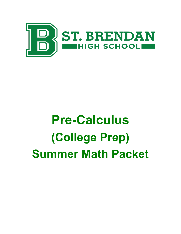

\_\_\_\_\_\_\_\_\_\_\_\_\_\_\_\_\_\_\_\_\_\_\_\_\_\_\_\_\_\_\_\_\_\_\_\_\_\_\_\_\_\_\_\_\_\_\_\_\_\_\_\_\_\_\_\_\_\_\_\_\_\_\_\_\_\_\_\_\_\_\_\_\_\_\_\_\_\_\_\_\_

# Pre-Calculus (College Prep) Summer Math Packet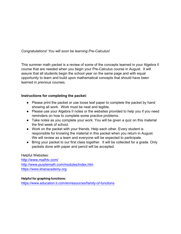# Congratulations! You will soon be learning Pre-Calculus!

This summer math packet is a review of some of the concepts learned in your Algebra II course that are needed when you begin your Pre-Calculus course in August. It will assure that all students begin the school year on the same page and with equal opportunity to learn and build upon mathematical concepts that should have been learned in previous courses.

### Instructions for completing the packet:

- Please print the packet or use loose leaf paper to complete the packet by hand showing all work. Work must be neat and legible.
- Please use your Algebra II notes or the websites provided to help you if you need reminders on how to complete some practice problems.
- Take notes as you complete your work. You will be given a quiz on this material the first week of school.
- Work on the packet with your friends. Help each other. Every student is responsible for knowing the material in this packet when you return in August. We will review as a team and everyone will be expected to participate.
- Bring your packet to our first class together. It will be collected for a grade. Only packets done with paper and pencil will be accepted.

Helpful Websites: [http://www.mathtv.com/](https://mathtv.com/) <http://www.purplemath.com/modules/index.htm> <https://www.khanacademy.org>

#### Helpful for graphing functions:

<https://www.education.ti.com/en/resources/family-of-functions>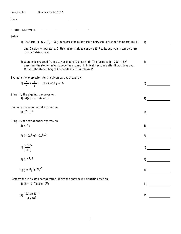Pre-Calculus Summer Packet 2022

Name

#### SH ORT ANSWER.

Solve.

1) The formula  $C = \frac{5}{9}(F - 32)$  expresses the relationship between Fahrenheit temperature, F, 1)

2)

and Celsius temperature, C. Use the formula to convert 59°F to its equivalent temperature on the Celsius scale.

2) A stone is dropped from a tower that is 790 feet high. The formula  $\,$  h = 790 - 16t $^2$ describes the stone's height above the ground, h, in feet, t seconds after it was dropped. What is the stone's height 4 seconds after it is released?

Evaluate the expression for the given values of x and y.

|                                                                             | 3) $\frac{ x }{x} + \frac{ y }{y}$ ; $x = 2$ and $y = -5$       | 3)  |
|-----------------------------------------------------------------------------|-----------------------------------------------------------------|-----|
|                                                                             |                                                                 |     |
|                                                                             | Simplify the algebraic expression.<br>4) $-4(2x - 9) - 4x + 10$ | 4)  |
|                                                                             |                                                                 |     |
|                                                                             | Evaluate the exponential expression.                            |     |
|                                                                             | 5) $3^2 \cdot 3^{-3}$                                           | 5)  |
|                                                                             | Simplify the exponential expression.                            |     |
|                                                                             | 6) $x^{-4}y$                                                    | 6)  |
|                                                                             |                                                                 |     |
|                                                                             | 7) $(-10x^3y)(-10x^6y^2)$                                       | 7)  |
|                                                                             |                                                                 |     |
|                                                                             | 8) $\left(\frac{-5x}{y}\right)^3$                               | 8)  |
|                                                                             |                                                                 |     |
|                                                                             | 9) $3x - 4y9$                                                   | 9)  |
|                                                                             |                                                                 |     |
|                                                                             | 10) $(3x^{-8}y^{6}z^{-9})^{-2}$                                 | 10) |
|                                                                             |                                                                 |     |
| Perform the indicated computation. Write the answer in scientific notation. |                                                                 |     |
|                                                                             | 11) $(3 \times 10^{-7})(1.9 \times 10^9)$                       | 11) |
|                                                                             |                                                                 |     |
|                                                                             | $10.40 \pm 10^{-1}$                                             |     |

$$
\frac{12!}{4 \times 10^8} \frac{12.46 \times 10^{-1}}{4 \times 10^8}
$$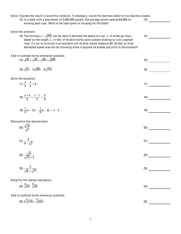| Solve. Express the result in scientific notation. If necessary, round the decimal factor to two decimal places.<br>13) In a state with a population of 3,000,000 people, the average citizen spends \$6,000 on<br>housing each year. What is the total spent on housing for the state?                                                                                                                           | 13)  |
|------------------------------------------------------------------------------------------------------------------------------------------------------------------------------------------------------------------------------------------------------------------------------------------------------------------------------------------------------------------------------------------------------------------|------|
| Solve the problem.<br>14) The formula $v = \sqrt{20L}$ can be used to estimate the speed of a car, v, in miles per hour,<br>based on the length, L, in feet, of its skid marks upon sudden braking on a dry asphalt<br>road. If a car is involved in an accident and its skid marks measure 361.25 feet, at what<br>estimated speed was the car traveling when it applied its brakes just prior to the accident? | 14)  |
| Add or subtract terms whenever possible.<br>15) $\sqrt{25} + \sqrt{48} + \sqrt{49} + \sqrt{300}$                                                                                                                                                                                                                                                                                                                 | 15)  |
| 16) $\sqrt{3x}$ - $3\sqrt{48x}$ - $6\sqrt{75x}$                                                                                                                                                                                                                                                                                                                                                                  | 16)  |
| Solve the equation.<br>17) $\frac{x}{3} - \frac{x}{4} = 9$                                                                                                                                                                                                                                                                                                                                                       | 17)  |
| 18) $\frac{x+4}{6} + \frac{x-1}{2} = \frac{5}{6}$                                                                                                                                                                                                                                                                                                                                                                | 18)  |
| 19) $\frac{1}{4}(x - 12) - \frac{1}{9}(x - 9) = x - 5$                                                                                                                                                                                                                                                                                                                                                           | 19)  |
| Rationalize the denominator.<br>20) $\frac{\sqrt{16}}{\sqrt{7}}$                                                                                                                                                                                                                                                                                                                                                 | (20) |
| 21) $\frac{5}{9 - \sqrt{7}}$                                                                                                                                                                                                                                                                                                                                                                                     | 21)  |
| 22) $\frac{\sqrt{3}}{\sqrt{13}+3}$                                                                                                                                                                                                                                                                                                                                                                               | 22)  |
| 23) $\frac{5}{\sqrt{6} + \sqrt{11}}$                                                                                                                                                                                                                                                                                                                                                                             | 23)  |
| Simplify the radical expression.                                                                                                                                                                                                                                                                                                                                                                                 |      |
| 24) $\sqrt[3]{42} \cdot \sqrt[3]{36}$                                                                                                                                                                                                                                                                                                                                                                            | 24)  |
| Add or subtract terms whenever possible.                                                                                                                                                                                                                                                                                                                                                                         |      |
| 25) $2\sqrt[3]{135} + \sqrt[3]{320}$                                                                                                                                                                                                                                                                                                                                                                             | 25)  |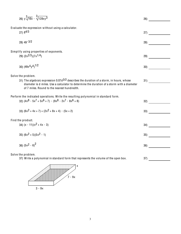) y x - xy3 26) Evaluate the expression without using a calculator. ) 84/3 27) ) 49- 3/2 28) Simpl ify using properties of exponents. ) (2x2/3)(7x1/4) 29) ) (49x4y4) /<sup>2</sup> <sup>30</sup>) Solve the problem. ) The algebraic expression 0.07d3/2 describes the duration of a storm, in hours, whose diameter is d miles. Use a calculator to determine the duration of a storm with a diameter of 7 miles. Round to the nearest hundredth. ) Perform the indicated operations. Write the resulting polynomial in standard form. ) (4x8 - 5x7 + 5x6 + 7) - (9x8 - 2x7 - 8x6 + 8) 32) ) (6x2 + 4x + 7) + (2x2 + 8x + 4) - (5x + 2) 33) Find the product. ) (x - 11)(x2 + 4x - 3) 34) ) (6x2 + 5)(5x2 - 1) 35) ) (5x2 - 6) <sup>36</sup>) Solve the problem. ) Write a polynomial in standard form that represents the volume of the open box. )

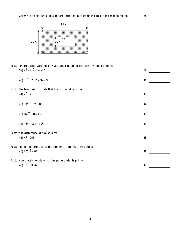

| Factor by grouping. Assume any variable exponents represent whole numbers. |     |
|----------------------------------------------------------------------------|-----|
| 39) $x^3 - 4x^2 - 5x + 20$                                                 | 39) |
| 40) $5x^3 - 20x^2 + 9x - 36$                                               | 40) |
| Factor the trinomial, or state that the trinomial is prime.                |     |
| 41) $x^2 - x - 72$                                                         | 41) |
| 42) $5x^2 + 16x + 12$                                                      |     |
|                                                                            | 42) |
| 43) $15x^2 - 16x + 4$                                                      | 43) |
| 44) $8x^2 + 6xy - 9y^2$                                                    | 44) |
| Factor the difference of two squares.                                      |     |
| 45) $x^4$ - 256                                                            | 45) |
| Factor using the formula for the sum or difference of two cubes.           |     |
| 46) $125x^3 - 64$                                                          | 46) |
| Factor completely, or state that the polynomial is prime.                  |     |
| 47) $6x^3 - 864x$                                                          | 47) |

 $\overline{4}$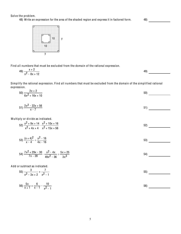Solve the problem. 48) Write an expression for the area of the shaded region and express it in factored form.

 $\left( \begin{array}{c} 48 \end{array} \right)$ 



Find all numbers that must be excluded from the domain of the rational expression.

| $V +$<br>49)                  | Δ٥<br>−. |  |
|-------------------------------|----------|--|
| $x^2 - 8x + $<br>.40<br>0.111 |          |  |

Simplify the rational expression. Find all numbers that must be excluded from the domain of the simplified rational expression.

| $\frac{2x+2}{6x^2+16x+10}$                                                                      | 50) |
|-------------------------------------------------------------------------------------------------|-----|
| 51) $\frac{2x^2 - 22x + 56}{x - 7}$                                                             | 51) |
| Multiply or divide as indicated.                                                                |     |
| 52) $\frac{x^2 + 9x + 14}{x^2 + 4x + 4} \cdot \frac{x^2 + 10x + 16}{x^2 + 15x + 56}$            | 52) |
| 53) $\frac{(x + 4)^2}{x - 4} \div \frac{x^2 - 16}{x - 16}$                                      | 53) |
| 54) $rac{7x^2 + 29x - 30}{7x - 28} \cdot \frac{x^2 - 4x}{40x^2 - 26} \div \frac{5x + 25}{3x^3}$ | 54) |
| Add or subtract as indicated.<br>55) $\frac{3}{x^2-3x+2} + \frac{7}{x^2-1}$                     | 55) |
| 56) $\frac{5x}{x+1} + \frac{6}{x-1} - \frac{10}{x^2-1}$                                         | 56) |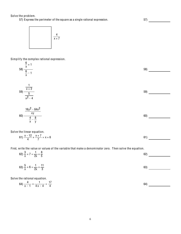Solve the problem.

57) Express the perimeter of the square as a single rational expression.

57)



Simplify the complex rational expression.

| $\frac{\frac{6}{x}+1}{\frac{6}{x}-1}$                                                                                                                             | 58) |
|-------------------------------------------------------------------------------------------------------------------------------------------------------------------|-----|
| 59) $\frac{\frac{1}{x+2}}{\frac{5}{x^2-4}}$                                                                                                                       | 59) |
| 60) $\frac{\frac{16y^2 - 64x^2}{xy}}{\frac{4}{x} - \frac{8}{y}}$                                                                                                  | 60) |
| Solve the linear equation.<br>61) $\frac{x-12}{4} + \frac{x+7}{7} = x + 6$                                                                                        | 61) |
| First, write the value or values of the variable that make a denominator zero. Then solve the equation.<br>62) $\frac{3}{x}$ + 7 = $\frac{1}{2x}$ + $\frac{8}{5}$ | 62) |
| 63) $\frac{5}{x}$ + 6 = $\frac{1}{2x}$ + $\frac{11}{3}$                                                                                                           | 63) |
| Solve the rational equation.<br>64) $\frac{4}{x-1} + \frac{1}{4x-4} = \frac{17}{4}$                                                                               | 64) |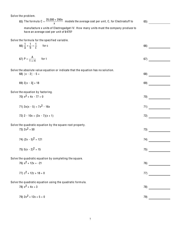Solve the problem. 65) The formula C =  $\frac{25,000 + 290x}{x}$  models the average cost per unit, C, for Electrostuff to 65) manufacture x units of Electrogadget IV. How many units must the company produce to have an average cost per unit of \$470? Solve the formula for the specified variable. 66)  $\frac{1}{2} + \frac{1}{6} = \frac{1}{6}$ for c 66) 67)  $P = \frac{A}{1 + rt}$ for t Solve the absolute value equation or indicate that the equation has no solution. 68)  $|x - 2| - 5 =$ 69) 69)  $3|x - 3| = 18$ Solve the equation by factoring.  $70)$ 70)  $x^2$  + 4x - 77 = 0 71)  $3x(x - 5) = 7x^{2} - 16x$  $71)$  $72)$ 72)  $2 - 10x = (3x - 7)(x + 1)$ Solve the quadratic equation by the square root property. 73) 73)  $2x^2 = 50$ 74)  $(2x - 5)^2 = 121$ **74)** 75)  $5(x - 2)^2 = 15$ 75) Solve the quadratic equation by completing the square. 76)  $x^2$  + 12x = -21 76) 77)  $z^2$  + 12z + 18 = 0 77) Solve the quadratic equation using the quadratic formula.  $\overline{78}$ ) 78)  $x^2 + 4x = 3$ 79)  $2x^2 + 12x + 5 = 0$ 79)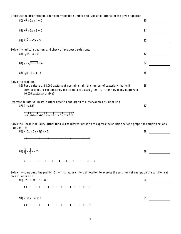Compute the discriminant. Then determine the number and type of solutions for the given equation.

 $(80)$   $x^2$  + 5x + 4 = 0  $81) x<sup>2</sup> + 6x + 9 = 0$ 81) 82)  $2x^2 = -2x - 5$ 82) Solve the radical equation, and check all proposed solutions. 83)  $\sqrt{4x - 3} = 3$  $83)$ 84)  $x - \sqrt{3x - 2} = 4$ 84)  $85) \sqrt{x - 3} = x - 5$ 85) Solve the problem. 86) 86) For a culture of 80,000 bacteria of a certain strain, the number of bacteria N that will survive x hours is modeled by the formula  $N = 8000\sqrt{100 - x}$ . After how many hours will 16,000 bacteria survive? Express the interval in set-builder notation and graph the interval on a number line. 87) 87)  $(-\infty, 2.5]$  $-10-9-8-7-6-5-4-3-2-1012345678910$ Solve the linear inequality. Other than  $\varnothing$ , use interval notation to express the solution set and graph the solution set on a number line. 88)  $-15x + 5 \le -5(2x - 5)$  $88)$ 89)  $\frac{2}{3} - \frac{8}{9}x < 2$ 89) и последнице се при подржава се при подржава се при подржава се при подржава се при подржава се при подржава се при подржава се при подржава се при подржава се при подржава се при подржава се при подржава се при подржав Solve the compound inequality. Other than  $\varnothing$ , use interval notation to express the solution set and graph the solution set on a number line. 90)  $-23 \le -3x - 2 \le -8$  $90)$ 91) 91)  $2 \le 3x - 4 \le 17$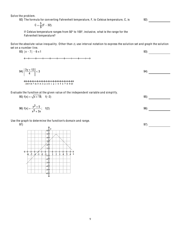Solve the problem.

92) The formula for converting Fahrenheit temperature, F, to Celsius temperature, C, is

92)

$$
C = \frac{5}{9}(F - 32).
$$

If Celsius temperature ranges from 50° to 100°, inclusive, what is the range for the Fahrenheit temperature?

Solve the absolute value inequality. Other than  $\emptyset$ , use interval notation to express the solution set and graph the solution set on a number line.

 $93)$  |x - 7| - 6  $\leq$  1 93) 94)  $\left| \frac{3y + 12}{4} \right| < 3$  $\left|\frac{1}{4}\right|$  < 3 94) 

#### Evaluate the function at the given value of the independent variable and simplify.

95)  $f(x) = \sqrt{x + 18}$ ;  $f(-2)$  95) 96)  $f(x) = \frac{x^2 + 5}{x^2}$  $x^3 + 3x$ ; f(2) 96)

Use the graph to determine the function's domain and range.



97) 97)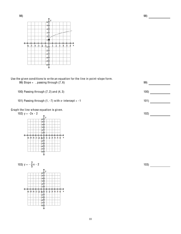

**99)**  $100)$  $101)$ 

 $102)$ 

 $103)$ 

Use the given conditions to write an equation for the line in point-slope form. 99) Slope = , passing through  $(7, 6)$ 

100) Passing through  $(7, 2)$  and  $(4, 3)$ 

101) Passing through  $(1, -7)$  with x-intercept = -1

Graph the line whose equation is given.



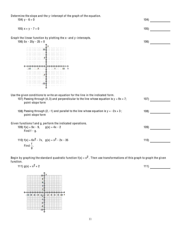Determine the slope and the y -intercept of the graph of the equation. 104)  $y - 6 = 0$  104) 105)  $x + y - 7 = 0$  105) Graph the linear function by plotting the x- and y -intercepts. 106)  $5x - 25y - 25 = 0$  106)  $\begin{array}{c} \n\downarrow \\
5 \downarrow\n\end{array}$  $\begin{array}{c}\n 1 \\
 -51 \\
 +1 \\
 \hline\n 1 \\
 -10 \\
 +1\n \end{array}$ Use the given conditions to write an equation for the line in the indicated form. 107) Passing through (4, 3) and perpendicular to the line whose equation is  $y = 9x + 7$ ; 107) point- slope form 108) Passing through (2, -1) and parallel to the line whose equation is  $y = -2x + 3$ ; 108) point- slope form Given functions f and g, perform the indicated operations. 109)  $f(x) = 9x - 9$ ,  $g(x) = 4x - 2$ 109) Find  $f - g$ . 110)  $f(x) = 6x^2 - 7x$ ,  $g(x) = x^2 - 2x - 35$ 110) Find  $\frac{f}{g}$ .

Begin by graphing the standard quadratic function  $f(x) = x^2$ . Then use transformations of this graph to graph the given function.<br> $(1, 1)$ 

| $-10-$<br>10 x | 111) |
|----------------|------|
|                |      |
|                |      |
|                |      |
|                |      |
|                |      |
|                |      |
|                |      |
|                |      |
|                |      |
|                |      |
|                |      |
|                |      |
|                |      |
|                |      |
|                |      |
|                |      |
| $-10$          |      |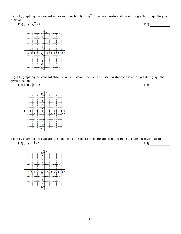Begin by graphing the standard square root function  $f(x) = \sqrt{x}$ . Then use transformations of this graph to graph the given function.





Begin by graphing the standard absolute value function  $f(x) = |x|$ . Then use transformations of this graph to graph the given function.



Begin by graphing the standard function  $f(x) = x^3$  Then use transformations of this graph to graph the given function. 114)  $g(x) = x^3 - 2$  114)

 $\begin{array}{c} \begin{array}{c} \uparrow \downarrow \downarrow \downarrow \end{array} \\ \begin{array}{c} \begin{array}{c} \uparrow \downarrow \downarrow \end{array} \\ \begin{array}{c} \uparrow \downarrow \end{array} \end{array} \end{array}$  $10 - 8 - 6 - 4$  $\mathbf{2}$  $\overline{6}$  $\begin{array}{c}\n4 \\
\hline\n6\n\end{array}$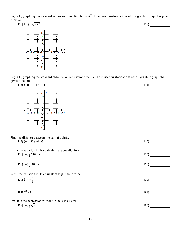Begin by graphing the standard square root function  $f(x) = \sqrt{x}$ . Then use transformations of this graph to graph the given function.





Begin by graphing the standard absolute value function  $f(x) = |x|$ . Then use transformations of this graph to graph the given function.

| 116) $h(x) =  x + 4  + 4$                                                      | 116) |
|--------------------------------------------------------------------------------|------|
|                                                                                |      |
| Find the distance between the pair of points.                                  |      |
| 117) $(-4, -2)$ and $(-8, )$                                                   | 117) |
| Write the equation in its equivalent exponential form.                         |      |
| 118) $\log_6 216 = x$                                                          | 118) |
| 119) $log_b 16 = 2$                                                            | 119) |
| Write the equation in its equivalent logarithmic form.                         |      |
| 120) $3^{-2} = \frac{1}{9}$                                                    | 120) |
| 121) $5^3 = x$                                                                 | 121) |
| Evaluate the expression without using a calculator.<br>122) $log_{9} \sqrt{9}$ | 122) |
|                                                                                |      |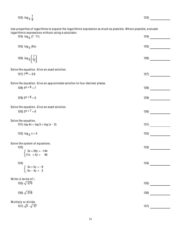| 123) $\log_{3} \frac{1}{9}$                                                                                                                                            | 123) |  |
|------------------------------------------------------------------------------------------------------------------------------------------------------------------------|------|--|
| Use properties of logarithms to expand the logarithmic expression as much as possible. Where possible, evaluate<br>logarithmic expressions without using a calculator. |      |  |
| 124) $log_5(7 \cdot 11)$                                                                                                                                               | 124) |  |
| 125) $log_3(9x)$                                                                                                                                                       | 125) |  |
| 126) $\log_3\left(\frac{7}{13}\right)$                                                                                                                                 | 126) |  |
| Solve the equation. Give an exact solution.                                                                                                                            |      |  |
| 127) $7^{4x} = 3.9$                                                                                                                                                    | 127) |  |
| Solve the equation. Give an approximate solution to four decimal places.                                                                                               |      |  |
| 128) $4^x + 8 = 7$                                                                                                                                                     | 128) |  |
| 129) $2^x + 8 = 5$                                                                                                                                                     | 129) |  |
| Solve the equation. Give an exact solution.                                                                                                                            |      |  |
| 130) $2^{x + 7} = 6$                                                                                                                                                   | 130) |  |
| Solve the equation.                                                                                                                                                    |      |  |
| 131) $log 4x = log 5 + log (x - 3)$                                                                                                                                    | 131) |  |
| 132) $log_2 x = 5$                                                                                                                                                     | 132) |  |
| Solve the system of equations.                                                                                                                                         |      |  |
| 133)<br>$\begin{cases} 2x + 20y = -144 \\ 11x + 4y = 56 \end{cases}$                                                                                                   | 133) |  |
|                                                                                                                                                                        |      |  |
| 134)                                                                                                                                                                   | 134) |  |
| $\begin{cases} 3x + 5y = -9 \\ -5x - 4y = 2 \end{cases}$                                                                                                               |      |  |
| Write in terms of i.                                                                                                                                                   |      |  |
| 135) $\sqrt{-270}$                                                                                                                                                     | 135) |  |
| 136) $\sqrt{-216}$                                                                                                                                                     | 136) |  |
| Multiply or divide.                                                                                                                                                    |      |  |
| 137) $\sqrt{3} \cdot \sqrt{-27}$                                                                                                                                       | 137) |  |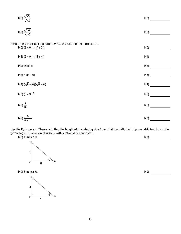| 138) $\frac{\sqrt{25}}{\sqrt{-2}}$                                                                  | 138)  |
|-----------------------------------------------------------------------------------------------------|-------|
| 139) $\frac{\sqrt{-40}}{\sqrt{-5}}$                                                                 | 139)  |
| Perform the indicated operation. Write the result in the form a + bi.<br>140) $(3 - 6i) + (7 + 2i)$ | 140)  |
| 141) $(2 - 9i) + (4 + 4i)$                                                                          | 141)  |
| 142) (5i)(14i)                                                                                      | 142)  |
| 143) $4i(9 - 7i)$                                                                                   | 143)  |
| 144) $(\sqrt{8} + 2i)(\sqrt{8} - 2i)$                                                               | 144)  |
| 145) $(8 + 9i)^2$                                                                                   | 145)  |
| 146) $\frac{7}{3i}$                                                                                 | 146)  |
| $\frac{1}{2}$ $\frac{1}{2}$ 9                                                                       | 4.471 |

$$
147) \frac{9}{4+3i} \tag{147}
$$

Use the Pythagorean Theorem to find the length of the missing side.Then find the indicated trigonometric function of the given angle. Give an exact answer with a rational denominator. )

148) Find sin  $\theta$ .



149) Find cos  $θ$ .



)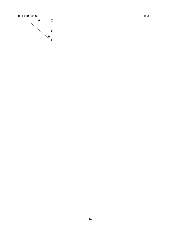

 $150)$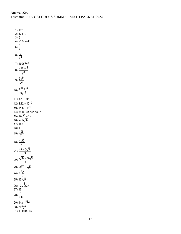1)  $15^{\circ}$ C 2) 534 ft  $3)0$ 4)  $-12x + 46$ 5)  $\frac{1}{3}$ 6)  $\frac{y}{x^4}$ 7)  $100x^9y^3$  $8) \frac{-125x^3}{y^3}$ 9)  $\frac{3y^9}{x^4}$ 10)  $\frac{x^{16}z^{18}}{9y^{12}}$ 11)  $5.7 \times 10^2$ 12)  $3.12 \times 10^{-9}$ 13)  $$1.8 \times 10^{10}$  $14$ ) 85 miles per hour 15)  $14\sqrt{3} + 12$ 16)  $-41\sqrt{3x}$  $17) 108$  $18)1$ 19)  $\frac{108}{31}$ 20)  $\frac{4\sqrt{7}}{7}$ 21)  $\frac{45+5\sqrt{7}}{74}$ 22)  $\frac{\sqrt{39} - 3\sqrt{3}}{4}$ 23)  $\sqrt{11} - \sqrt{6}$ 24)  $6\sqrt[3]{7}$ 25)  $10\sqrt[3]{5}$ 26) -  $2y\sqrt[3]{2x}$  $27)16$ 28)  $\frac{1}{343}$ 29) 14x 11/12 30)  $7x^2y^2$ 31) 1.30 hours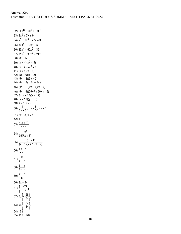```
32) -5x^8 - 3x^7 + 13x^6 - 133) 8x^2 + 7x + 934) x^3 - 7x^2 - 47x + 3335) 30x^4 + 19x^2 - 536) 25x^4 - 60x^2 + 3637) 81x^3 - 90x^2 + 21x38) 5x + 17
39) (x - 4)(x^2 - 5)40) (x - 4)(5x^2 + 9)41) (x + 8)(x - 9)42) (5x + 6)(x + 2)43) (5x - 2)(3x - 2)
44) (4x - 3y)(2x + 3y)
45) (x^2 + 16)(x + 4)(x - 4)46) (5x - 4)(25x<sup>2</sup> + 20x + 16)47) 6x(x + 12)(x - 12)
48) (y + 10)(y - 10)
49) x \neq 6, x \neq 250) \frac{1}{3x+5}, x \neq -\frac{5}{3}, x \neq -151) 2x - 8, x \neq 752) 1
53) \frac{4(x + 4)}{x - 4}54) \frac{3x^4}{35(7x+6)}55) \frac{10x - 11}{(x - 1)(x + 1)(x - 2)}56) 5x - 4
x - 1
57) \frac{16}{x + 7}58) \frac{6 + x}{6 - x}59) \frac{x - 2}{5}60) 8x + 4y61) \left\{-\frac{224}{17}\right\}62) 0; \left\{\frac{25}{54}\right\}63) 0; \frac{1}{2}-\frac{27}{14}64) { 2 }
65) 139 units
```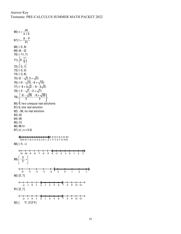66)  $c = \frac{ab}{a + b}$ 67)  $t = \frac{A - P}{Pr}$ 68)  $\{-5, 9\}$ 69)  $\{9, -3\}$ 70) {-11, 7} 71)  $\left\{ 0, \frac{1}{4} \right\}$  $72$ )  $\{-3, 1\}$ 73)  $\{-5, 5\}$  $74$ )  $\{-3, 8\}$ 75)  $\{2 - \sqrt{3}, 2 + \sqrt{3}\}$ 76)  $\{-6 - \sqrt{15}, -6 + \sqrt{15}\}$ 77)  $\{-6 + 3\sqrt{2}, -6 - 3\sqrt{2}\}$ 78)  $\{-2 - \sqrt{7}, -2 + \sqrt{7}\}$  $\sqrt{\frac{-6-\sqrt{26}}{2}}, \frac{-6+\sqrt{26}}{2}$  $79)$ 80) 9; two unequal real solutions 81) 0; one real solution 82) - 36; no real solution  $83)$   $\{3\}$ 84) {9} 85) {7} 86) 96 hr 87)  $\{x \mid x \le 2.5\}$  $\xi$ <br>-10-9-8-7-6-5-4-3-2-10 1 2 3 4 5 6 7 8 9 10 88)  $[-4, \infty)$  $-11 - 10 - 9 - 8 - 7 -6 -5$  $\overrightarrow{2}$  $\frac{1}{4}$  $-3$   $-2$   $-1$  0  $\overline{1}$ 89)  $\left(-\frac{3}{2}, \infty\right)$  $\leftrightarrow$  $\frac{+}{5}$  $-4$   $-3$   $-2$   $-1$  $\overline{0}$  $\frac{1}{3}$  $\mathbf{1}$  $\overline{2}$ 90) [2, 7] 7 8 9 10 11  $91)$   $[2, 7]$ 92) [ °F, 212°F]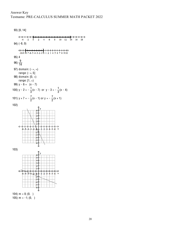93) [0, 14]  $\leftarrow +$  $\ddot{\mathbf{6}}$  $\overline{2}$  $\frac{1}{4}$  $-2$  $\Omega$ 94) (-8, 0)  $+$ <br>-10-9 95) 4 96)  $\frac{9}{14}$ 97) domain:  $(-\infty, \infty)$ range:  $(-\infty, 5]$ 98) domain:  $[0, \infty)$ range:  $[1, \infty)$ 99)  $y - 6 = (x - 7)$ 100)  $y - 2 = -\frac{1}{3}(x - 7)$  or  $y - 3 = -\frac{1}{3}(x - 4)$ 101)  $y + 7 = -\frac{7}{2}(x - 1)$  or  $y = -\frac{7}{2}(x + 1)$ 102) ś b. 103)  $\mathcal{D}$  $\overline{\mathbf{2}}$ ś Á 104)  $m = 0$ ; (0, )

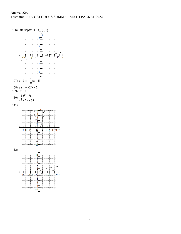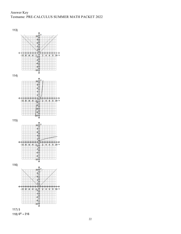Answer Key Testname: PRE-CALCULUS SUMMER MATH PACKET 2022-



118)  $6^x = 216$